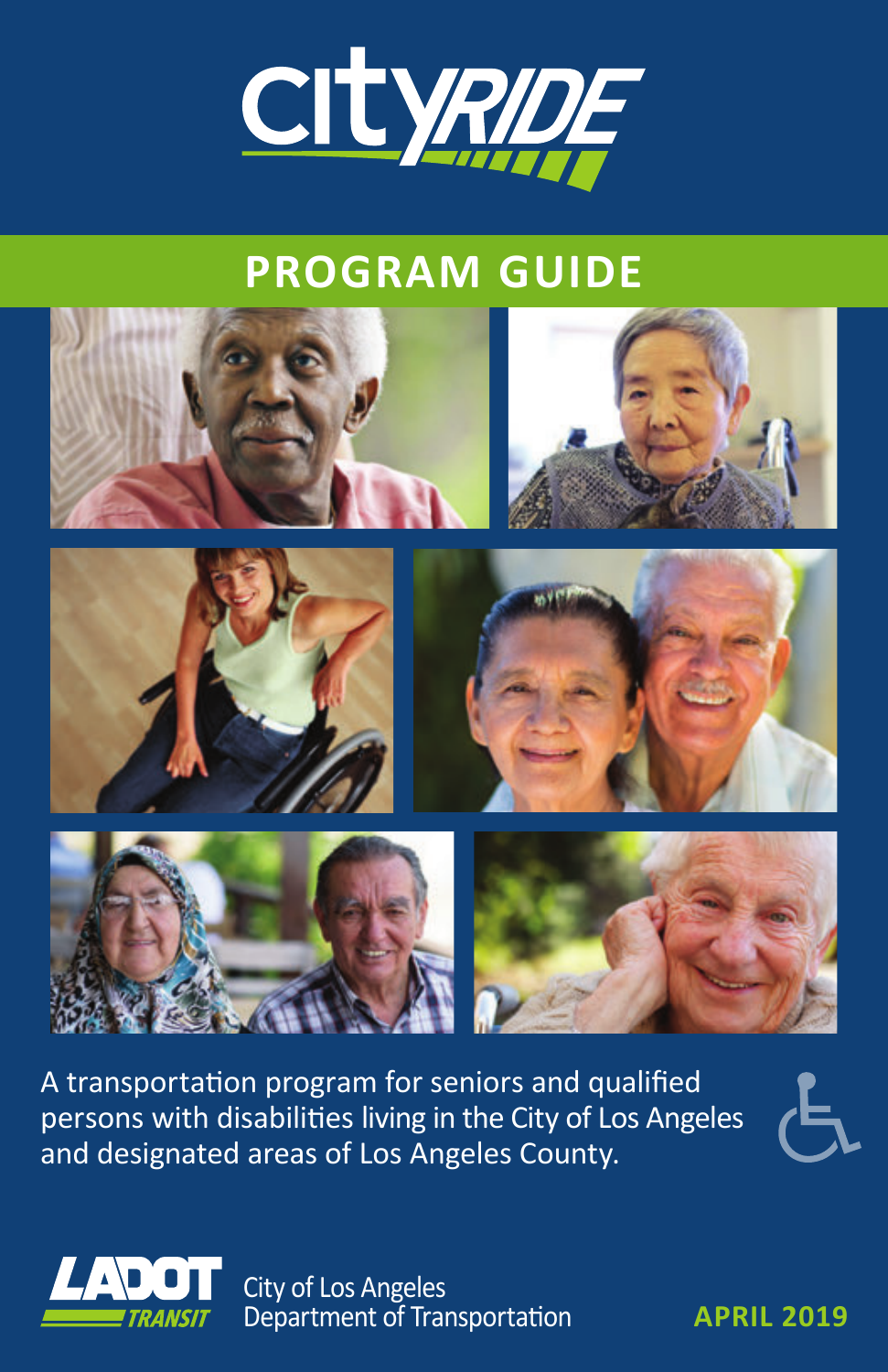

# **PROGRAM GUIDE**



A transportation program for seniors and qualified persons with disabilities living in the City of Los Angeles and designated areas of Los Angeles County.



City of Los Angeles Department of Transportation **APRIL 2019**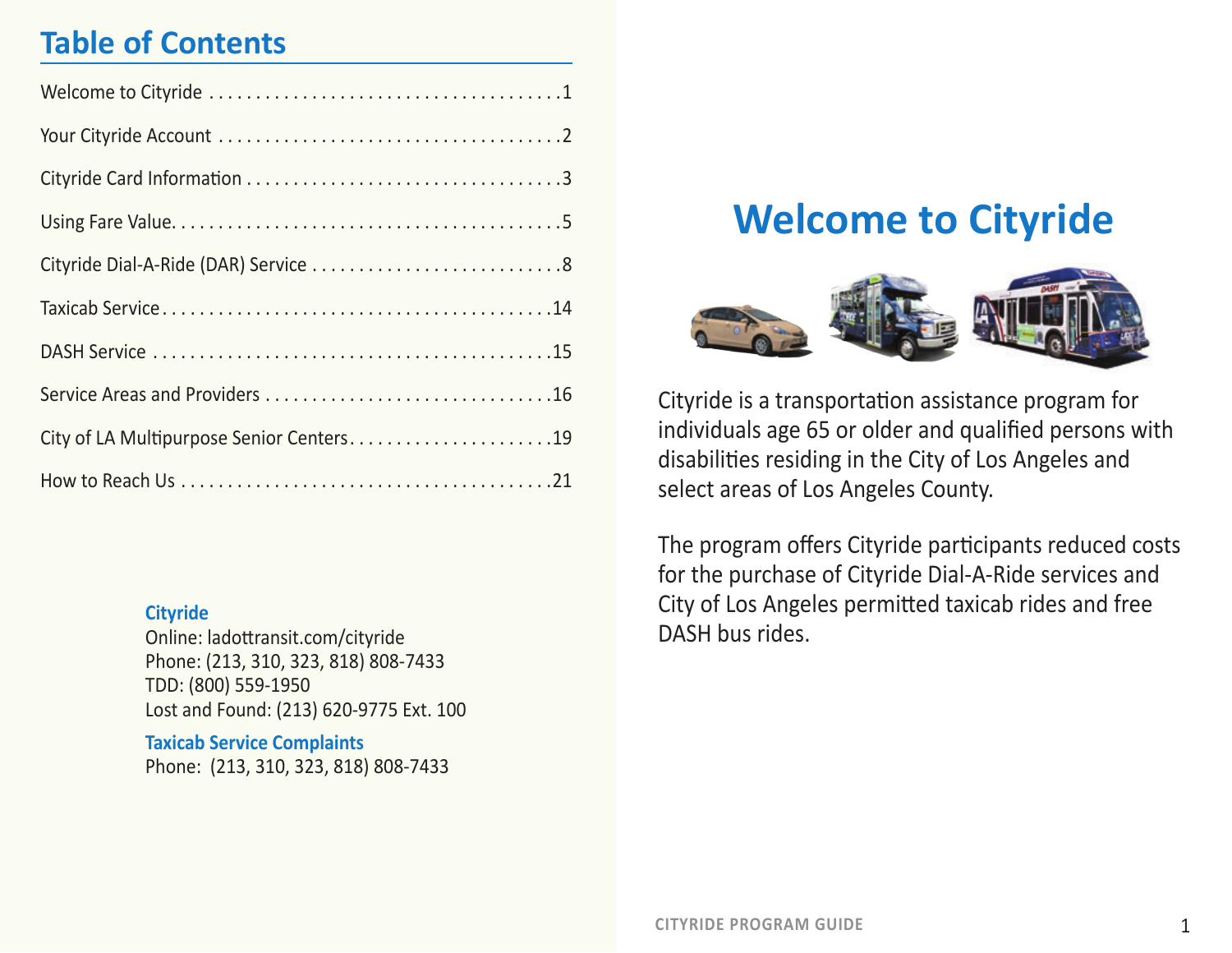# **Table of Contents**

| City of LA Multipurpose Senior Centers19 |
|------------------------------------------|
|                                          |

#### **Cityride**

Online: ladottransit.com/cityride Phone: (213, 310, 323, 818) 808-7433 TDD: (800) 559-1950 Lost and Found: (213) 620-9775 Ext. 100

**Taxicab Service Complaints** Phone: (213, 310, 323, 818) 808-7433

# **Welcome to Cityride**



Cityride is a transportation assistance program for individuals age 65 or older and qualified persons with disabilities residing in the City of Los Angeles and select areas of Los Angeles County.

The program offers Cityride participants reduced costs for the purchase of Cityride Dial-A-Ride services and City of Los Angeles permitted taxicab rides and free DASH bus rides.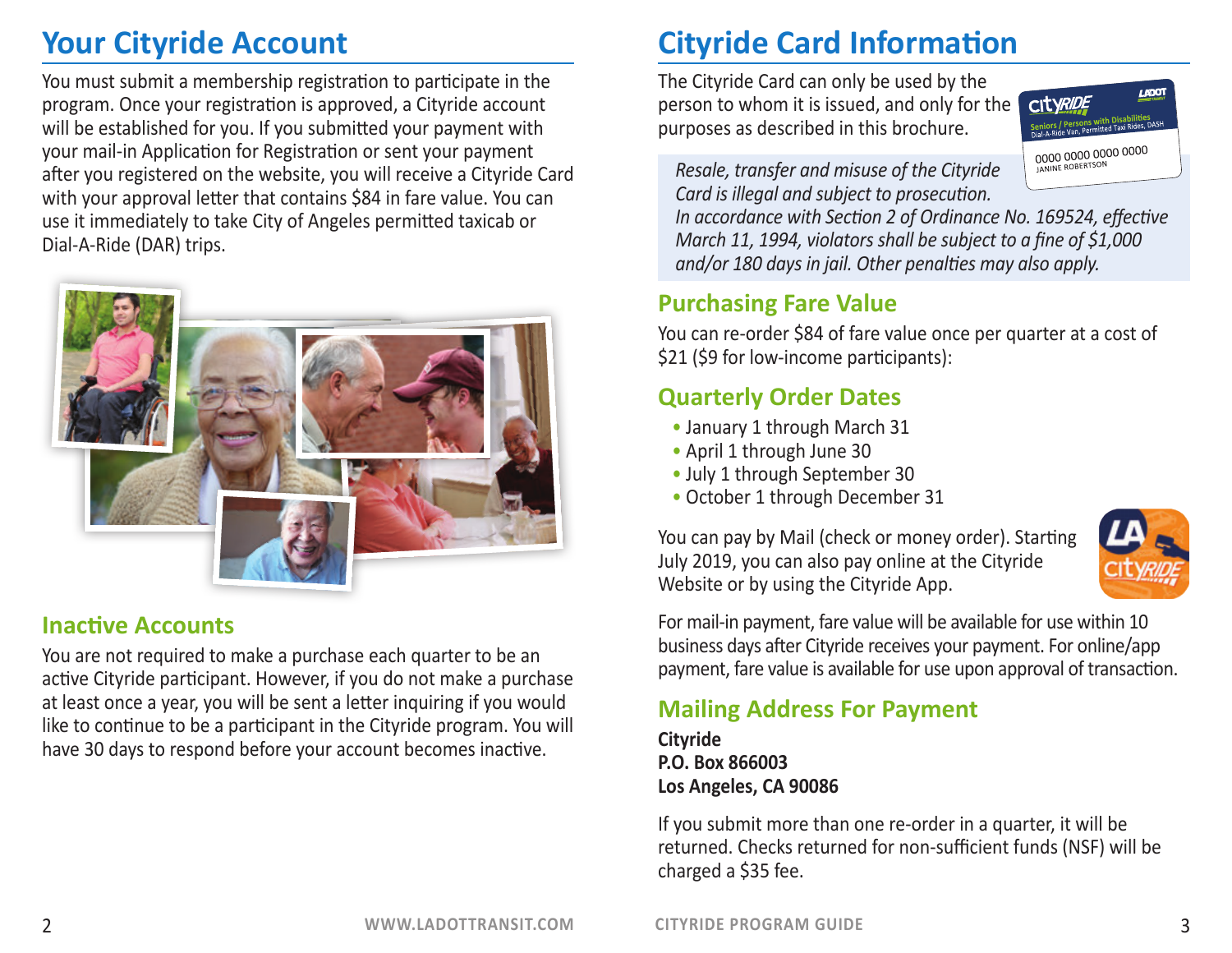# **Your Cityride Account**

You must submit a membership registration to participate in the program. Once your registration is approved, a Cityride account will be established for you. If you submitted your payment with your mail-in Application for Registration or sent your payment after you registered on the website, you will receive a Cityride Card with your approval letter that contains \$84 in fare value. You can use it immediately to take City of Angeles permitted taxicab or Dial-A-Ride (DAR) trips.



### **Inactive Accounts**

You are not required to make a purchase each quarter to be an active Cityride participant. However, if you do not make a purchase at least once a year, you will be sent a letter inquiring if you would like to continue to be a participant in the Cityride program. You will have 30 days to respond before your account becomes inactive.

# **Cityride Card Information**

The Cityride Card can only be used by the person to whom it is issued, and only for the purposes as described in this brochure.



*Resale, transfer and misuse of the Cityride Card is illegal and subject to prosecution.* 

*In accordance with Section 2 of Ordinance No. 169524, effective March 11, 1994, violators shall be subject to a fine of \$1,000 and/or 180 days in jail. Other penalties may also apply.*

# **Purchasing Fare Value**

You can re-order \$84 of fare value once per quarter at a cost of \$21 (\$9 for low-income participants):

# **Quarterly Order Dates**

- January 1 through March 31
- April 1 through June 30
- July 1 through September 30
- October 1 through December 31

You can pay by Mail (check or money order). Starting July 2019, you can also pay online at the Cityride Website or by using the Cityride App.



For mail-in payment, fare value will be available for use within 10 business days after Cityride receives your payment. For online/app payment, fare value is available for use upon approval of transaction.

# **Mailing Address For Payment**

**Cityride P.O. Box 866003 Los Angeles, CA 90086**

If you submit more than one re-order in a quarter, it will be returned. Checks returned for non-sufficient funds (NSF) will be charged a \$35 fee.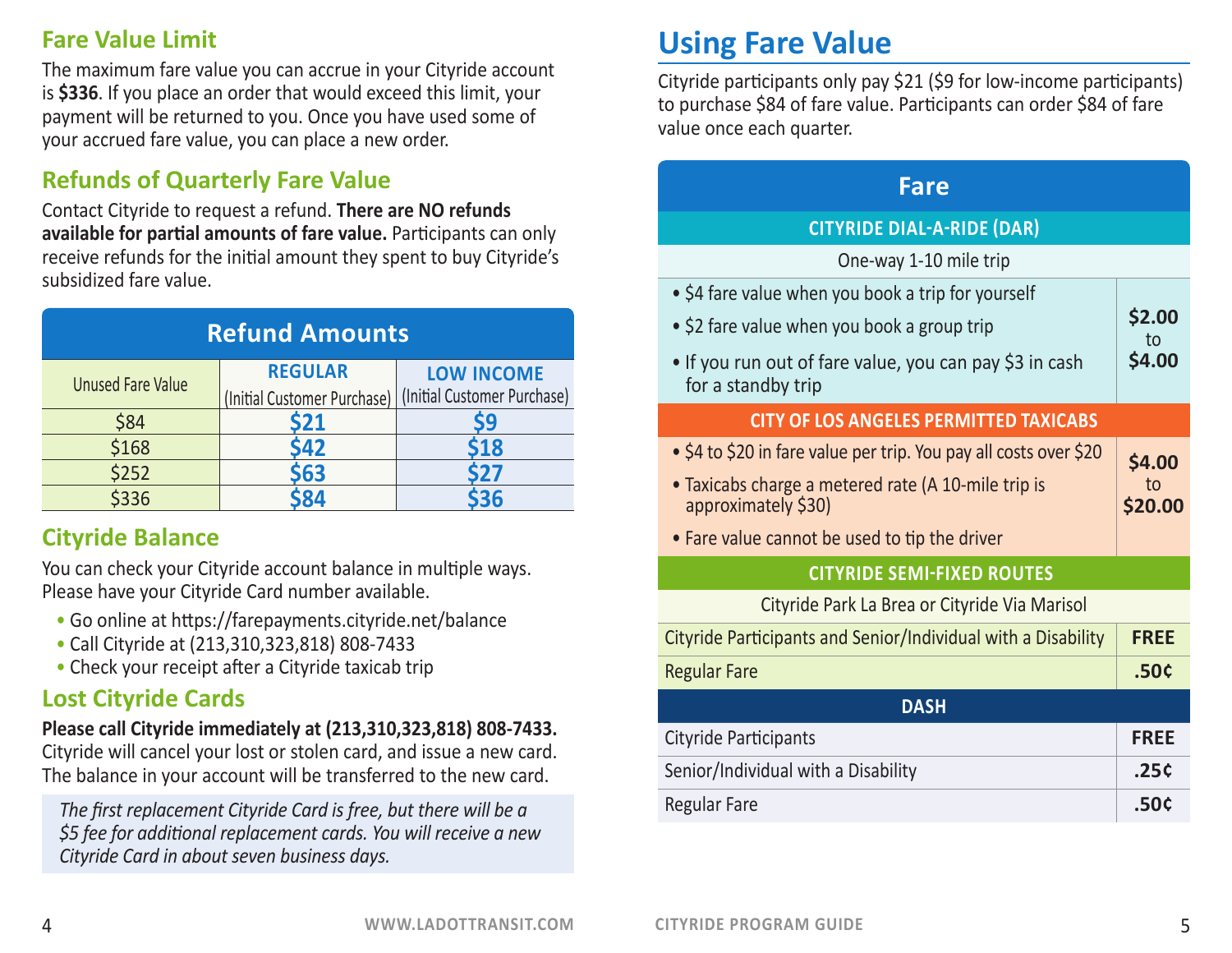#### **Fare Value Limit**

The maximum fare value you can accrue in your Cityride account is **\$336**. If you place an order that would exceed this limit, your payment will be returned to you. Once you have used some of your accrued fare value, you can place a new order.

### **Refunds of Quarterly Fare Value**

Contact Cityride to request a refund. **There are NO refunds available for partial amounts of fare value.** Participants can only receive refunds for the initial amount they spent to buy Cityride's subsidized fare value.

| <b>Refund Amounts</b>    |                             |                             |
|--------------------------|-----------------------------|-----------------------------|
|                          | <b>REGULAR</b>              | <b>LOW INCOME</b>           |
| <b>Unused Fare Value</b> | (Initial Customer Purchase) | (Initial Customer Purchase) |
| \$84                     | \$21                        | 59                          |
| \$168                    | \$42                        | 518                         |
| \$252                    | <b>63</b>                   | 527                         |
| \$336                    |                             |                             |

# **Cityride Balance**

You can check your Cityride account balance in multiple ways. Please have your Cityride Card number available.

- Go online at https://farepayments.cityride.net/balance
- Call Cityride at (213,310,323,818) 808-7433
- Check your receipt after a Cityride taxicab trip

### **Lost Cityride Cards**

#### **Please call Cityride immediately at (213,310,323,818) 808-7433.**

Cityride will cancel your lost or stolen card, and issue a new card. The balance in your account will be transferred to the new card.

*The first replacement Cityride Card is free, but there will be a \$5 fee for additional replacement cards. You will receive a new Cityride Card in about seven business days.*

# **Using Fare Value**

Cityride participants only pay \$21 (\$9 for low-income participants) to purchase \$84 of fare value. Participants can order \$84 of fare value once each quarter.

#### **Fare CITYRIDE DIAL-A-RIDE (DAR)** One-way 1-10 mile trip • \$4 fare value when you book a trip for yourself • \$2 fare value when you book a group trip • If you run out of fare value, you can pay \$3 in cash for a standby trip **\$2.00**  to **\$4.00 CITY OF LOS ANGELES PERMITTED TAXICABS** • \$4 to \$20 in fare value per trip. You pay all costs over \$20 • Taxicabs charge a metered rate (A 10-mile trip is approximately \$30) • Fare value cannot be used to tip the driver **\$4.00**  to **\$20.00 CITYRIDE SEMI-FIXED ROUTES** Cityride Park La Brea or Cityride Via Marisol Cityride Participants and Senior/Individual with a Disability **FREE** Regular Fare **.50¢ DASH** Cityride Participants **FREE** Senior/Individual with a Disability **.25¢** Regular Fare **.50¢**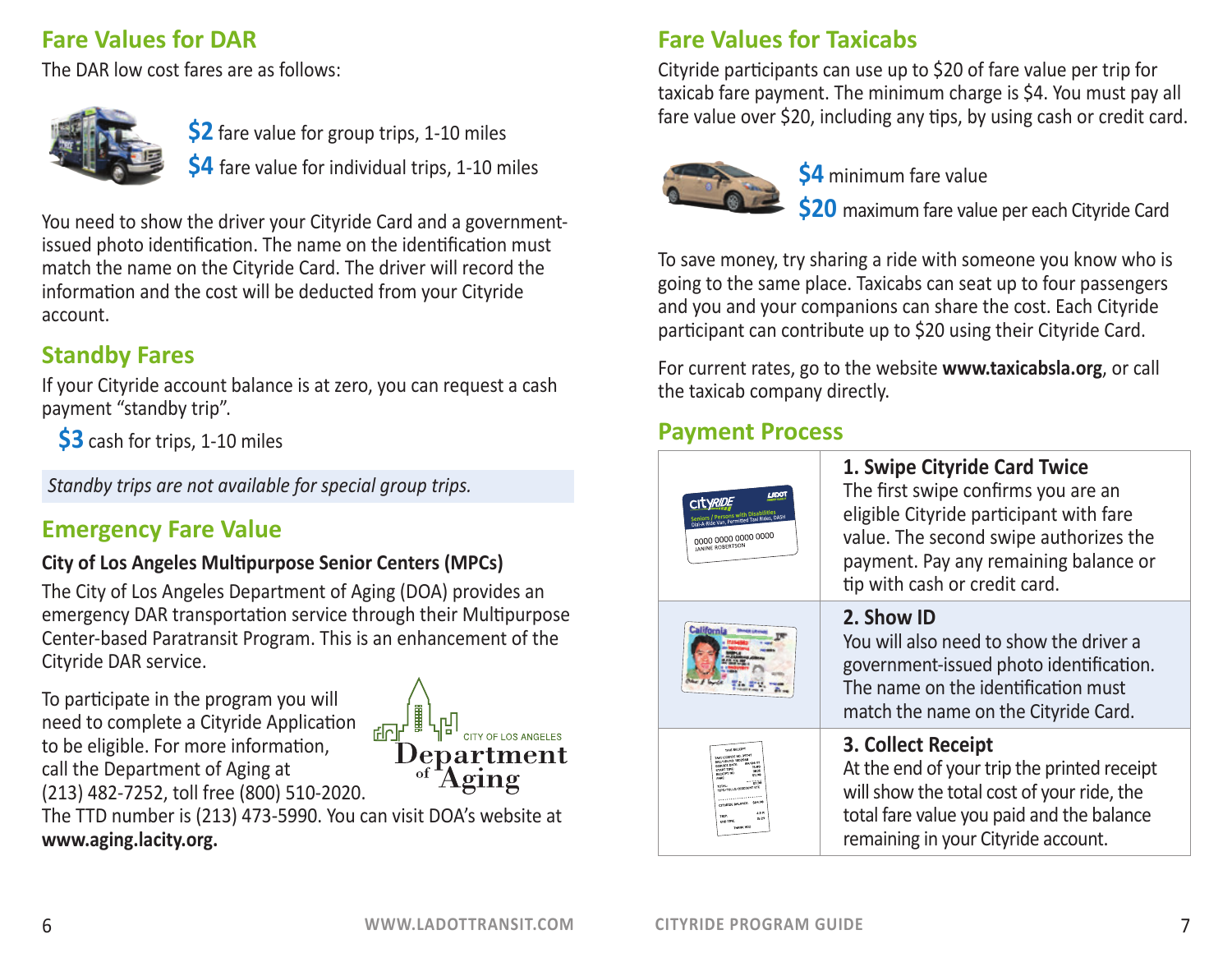## **Fare Values for DAR**

The DAR low cost fares are as follows:



**\$2** fare value for group trips, 1-10 miles **\$4** fare value for individual trips, 1-10 miles

You need to show the driver your Cityride Card and a governmentissued photo identification. The name on the identification must match the name on the Cityride Card. The driver will record the information and the cost will be deducted from your Cityride account.

# **Standby Fares**

If your Cityride account balance is at zero, you can request a cash payment "standby trip".

**\$3** cash for trips, 1-10 miles

*Standby trips are not available for special group trips.*

# **Emergency Fare Value**

#### **City of Los Angeles Multipurpose Senior Centers (MPCs)**

The City of Los Angeles Department of Aging (DOA) provides an emergency DAR transportation service through their Multipurpose Center-based Paratransit Program. This is an enhancement of the Cityride DAR service.

To participate in the program you will need to complete a Cityride Application to be eligible. For more information, call the Department of Aging at (213) 482-7252, toll free (800) 510-2020.



The TTD number is (213) 473-5990. You can visit DOA's website at **www.aging.lacity.org.**

#### **Fare Values for Taxicabs**

Cityride participants can use up to \$20 of fare value per trip for taxicab fare payment. The minimum charge is \$4. You must pay all fare value over \$20, including any tips, by using cash or credit card.



**\$4** minimum fare value

**\$20** maximum fare value per each Cityride Card

To save money, try sharing a ride with someone you know who is going to the same place. Taxicabs can seat up to four passengers and you and your companions can share the cost. Each Cityride participant can contribute up to \$20 using their Cityride Card.

For current rates, go to the website **www.taxicabsla.org**, or call the taxicab company directly.

#### **Payment Process**

| 1,6001<br><b>Persons with Disabilities</b><br>Dial-A-Ride Van, Permitted Taxi Rides, DASH<br>0000 0000 0000 0000<br>JANINE ROBERTSON                                                                                                                                                                                                                                                                                                                                                                                | 1. Swipe Cityride Card Twice<br>The first swipe confirms you are an<br>eligible Cityride participant with fare<br>value. The second swipe authorizes the<br>payment. Pay any remaining balance or<br>tip with cash or credit card. |
|---------------------------------------------------------------------------------------------------------------------------------------------------------------------------------------------------------------------------------------------------------------------------------------------------------------------------------------------------------------------------------------------------------------------------------------------------------------------------------------------------------------------|------------------------------------------------------------------------------------------------------------------------------------------------------------------------------------------------------------------------------------|
| <b>California</b>                                                                                                                                                                                                                                                                                                                                                                                                                                                                                                   | 2. Show ID<br>You will also need to show the driver a<br>government-issued photo identification.<br>The name on the identification must<br>match the name on the Cityride Card.                                                    |
| TAKE RECKLIPT<br>TAKE LOCENCE NO: 39747<br>REC/USING: 1002548<br>89/84/17<br>criticol CATE<br>15.00<br>START TIME<br>1015<br>RECEIPT NO.<br>49.98<br>CARS<br>$-788.98$<br>TIPS/TOLLS/DESCOUNT CTC<br>and the company of the company of the company of the company of the company of the company of the company of the company of the company of the company of the company of the company of the company of the company of the comp<br>CITYSDE SALANCE \$24.90<br>42.5<br>TOTP.<br>15:29<br>FIND TIME:<br>THANK YOU | 3. Collect Receipt<br>At the end of your trip the printed receipt<br>will show the total cost of your ride, the<br>total fare value you paid and the balance<br>remaining in your Cityride account.                                |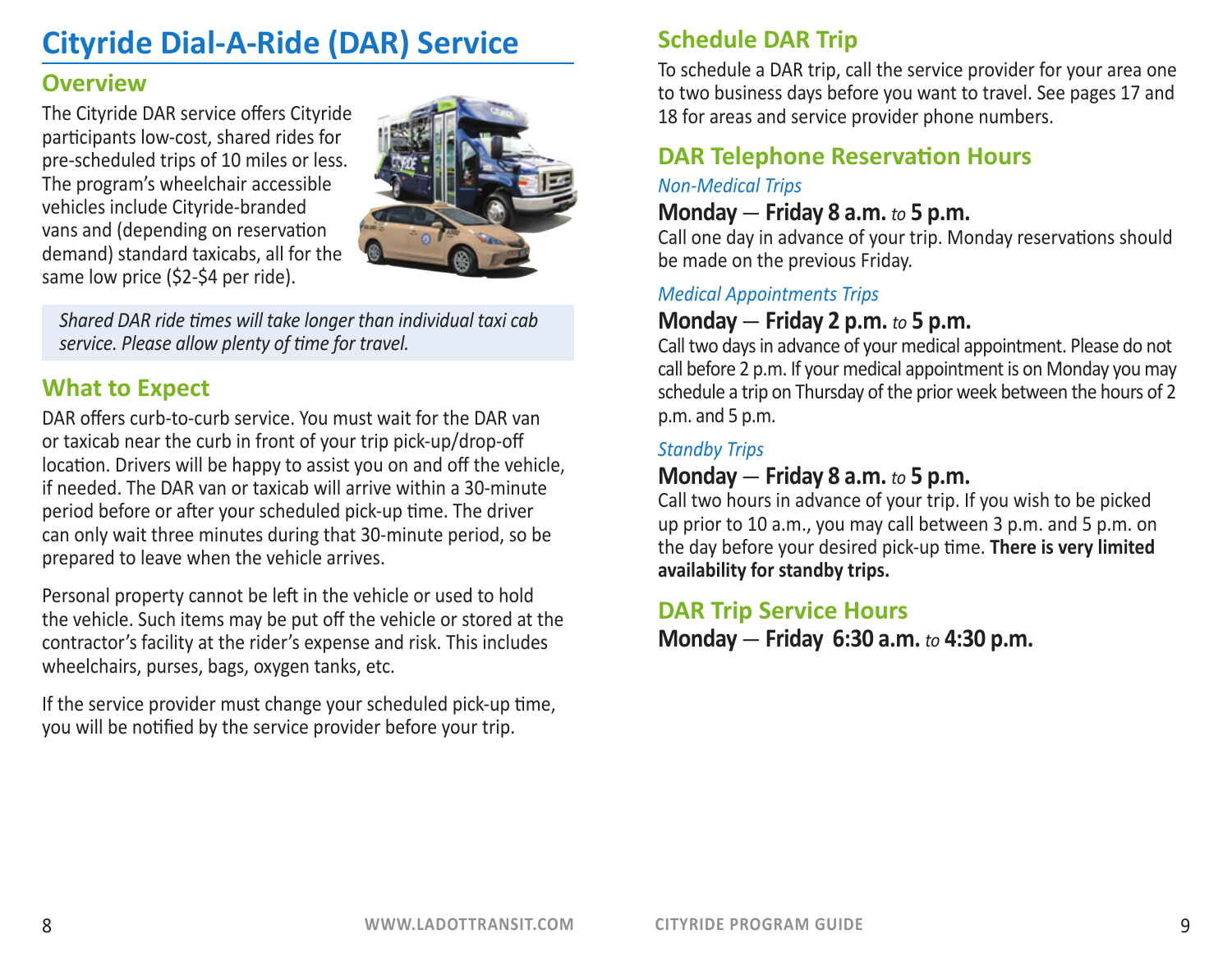# **Cityride Dial-A-Ride (DAR) Service**

#### **Overview**

The Cityride DAR service offers Cityride participants low-cost, shared rides for pre-scheduled trips of 10 miles or less. The program's wheelchair accessible vehicles include Cityride-branded vans and (depending on reservation demand) standard taxicabs, all for the same low price (\$2-\$4 per ride).



*Shared DAR ride times will take longer than individual taxi cab service. Please allow plenty of time for travel.*

#### **What to Expect**

DAR offers curb-to-curb service. You must wait for the DAR van or taxicab near the curb in front of your trip pick-up/drop-off location. Drivers will be happy to assist you on and off the vehicle, if needed. The DAR van or taxicab will arrive within a 30-minute period before or after your scheduled pick-up time. The driver can only wait three minutes during that 30-minute period, so be prepared to leave when the vehicle arrives.

Personal property cannot be left in the vehicle or used to hold the vehicle. Such items may be put off the vehicle or stored at the contractor's facility at the rider's expense and risk. This includes wheelchairs, purses, bags, oxygen tanks, etc.

If the service provider must change your scheduled pick-up time, you will be notified by the service provider before your trip.

## **Schedule DAR Trip**

To schedule a DAR trip, call the service provider for your area one to two business days before you want to travel. See pages 17 and 18 for areas and service provider phone numbers.

#### **DAR Telephone Reservation Hours**

#### *Non-Medical Trips*

#### **Monday** — **Friday 8 a.m.** *to* **5 p.m.**

Call one day in advance of your trip. Monday reservations should be made on the previous Friday.

#### *Medical Appointments Trips*

#### **Monday** — **Friday 2 p.m.** *to* **5 p.m.**

Call two days in advance of your medical appointment. Please do not call before 2 p.m. If your medical appointment is on Monday you may schedule a trip on Thursday of the prior week between the hours of 2 p.m. and 5 p.m.

#### *Standby Trips*

#### **Monday** — **Friday 8 a.m.** *to* **5 p.m.**

Call two hours in advance of your trip. If you wish to be picked up prior to 10 a.m., you may call between 3 p.m. and 5 p.m. on the day before your desired pick-up time. **There is very limited availability for standby trips.** 

#### **DAR Trip Service Hours**

**Monday** — **Friday 6:30 a.m.** *to* **4:30 p.m.**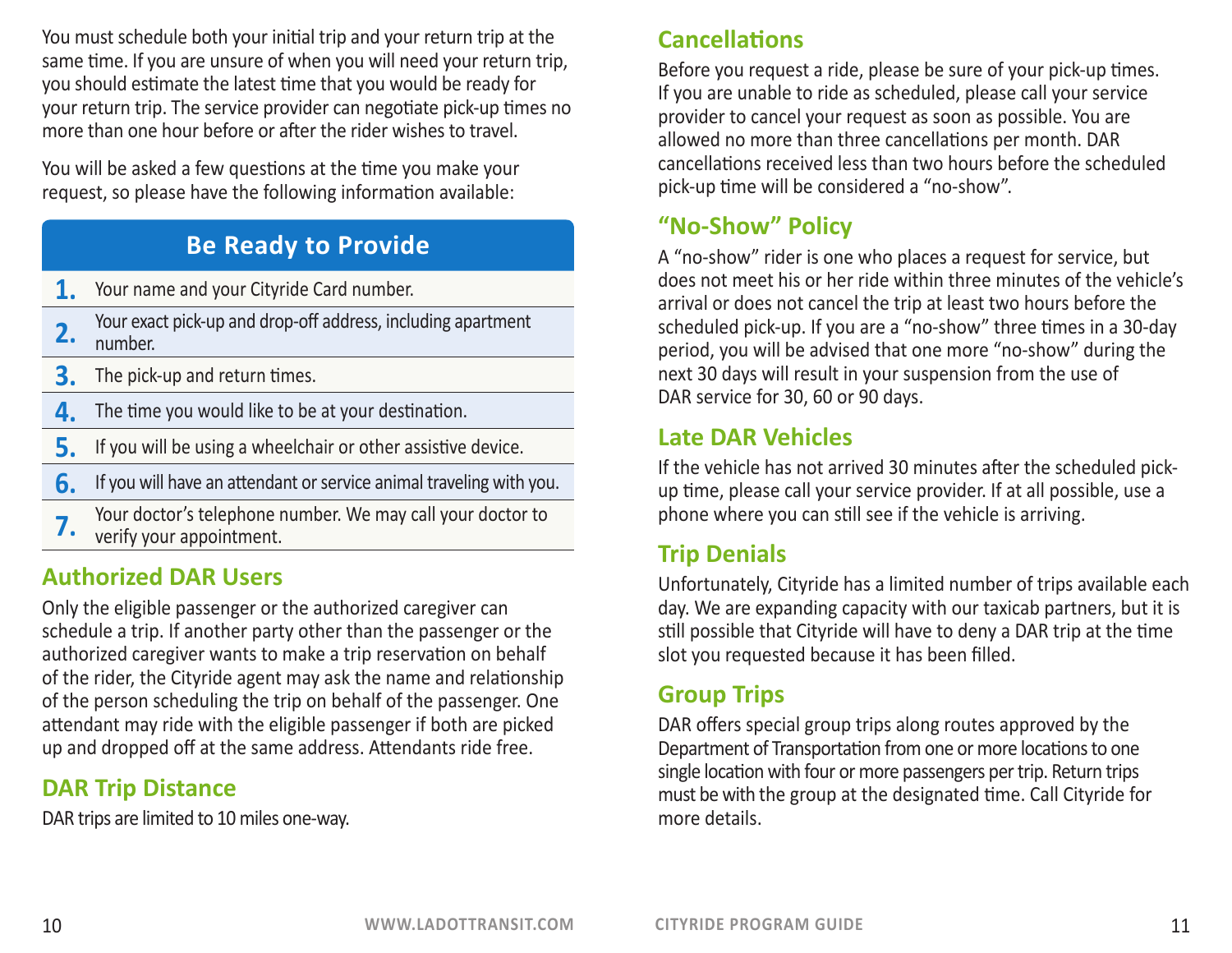You must schedule both your initial trip and your return trip at the same time. If you are unsure of when you will need your return trip, you should estimate the latest time that you would be ready for your return trip. The service provider can negotiate pick-up times no more than one hour before or after the rider wishes to travel.

You will be asked a few questions at the time you make your request, so please have the following information available:

## **Be Ready to Provide**

- **1.** Your name and your Cityride Card number.
- **2.** Your exact pick-up and drop-off address, including apartment number.
- **3.** The pick-up and return times.
- **4.** The time you would like to be at your destination.
- **5.** If you will be using a wheelchair or other assistive device.
- **6.** If you will have an attendant or service animal traveling with you.
- **7.** Your doctor's telephone number. We may call your doctor to verify your appointment.

# **Authorized DAR Users**

Only the eligible passenger or the authorized caregiver can schedule a trip. If another party other than the passenger or the authorized caregiver wants to make a trip reservation on behalf of the rider, the Cityride agent may ask the name and relationship of the person scheduling the trip on behalf of the passenger. One attendant may ride with the eligible passenger if both are picked up and dropped off at the same address. Attendants ride free.

### **DAR Trip Distance**

DAR trips are limited to 10 miles one-way.

#### **Cancellations**

Before you request a ride, please be sure of your pick-up times. If you are unable to ride as scheduled, please call your service provider to cancel your request as soon as possible. You are allowed no more than three cancellations per month. DAR cancellations received less than two hours before the scheduled pick-up time will be considered a "no-show".

# **"No-Show" Policy**

A "no-show" rider is one who places a request for service, but does not meet his or her ride within three minutes of the vehicle's arrival or does not cancel the trip at least two hours before the scheduled pick-up. If you are a "no-show" three times in a 30-day period, you will be advised that one more "no-show" during the next 30 days will result in your suspension from the use of DAR service for 30, 60 or 90 days.

#### **Late DAR Vehicles**

If the vehicle has not arrived 30 minutes after the scheduled pickup time, please call your service provider. If at all possible, use a phone where you can still see if the vehicle is arriving.

# **Trip Denials**

Unfortunately, Cityride has a limited number of trips available each day. We are expanding capacity with our taxicab partners, but it is still possible that Cityride will have to deny a DAR trip at the time slot you requested because it has been filled.

### **Group Trips**

DAR offers special group trips along routes approved by the Department of Transportation from one or more locations to one single location with four or more passengers per trip. Return trips must be with the group at the designated time. Call Cityride for more details.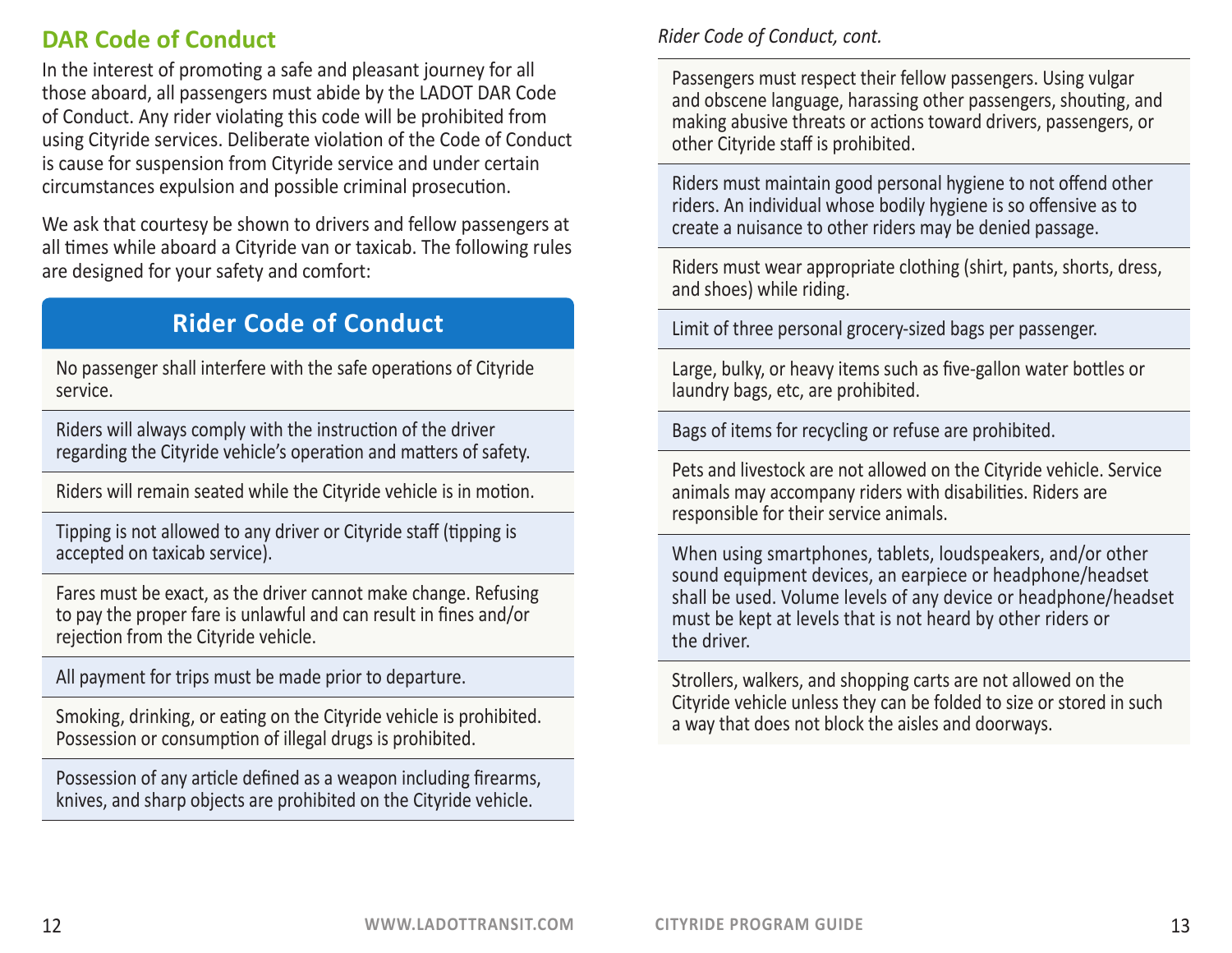## **DAR Code of Conduct**

In the interest of promoting a safe and pleasant journey for all those aboard, all passengers must abide by the LADOT DAR Code of Conduct. Any rider violating this code will be prohibited from using Cityride services. Deliberate violation of the Code of Conduct is cause for suspension from Cityride service and under certain circumstances expulsion and possible criminal prosecution.

We ask that courtesy be shown to drivers and fellow passengers at all times while aboard a Cityride van or taxicab. The following rules are designed for your safety and comfort:

# **Rider Code of Conduct**

No passenger shall interfere with the safe operations of Cityride service.

Riders will always comply with the instruction of the driver regarding the Cityride vehicle's operation and matters of safety.

Riders will remain seated while the Cityride vehicle is in motion.

Tipping is not allowed to any driver or Cityride staff (tipping is accepted on taxicab service).

Fares must be exact, as the driver cannot make change. Refusing to pay the proper fare is unlawful and can result in fines and/or rejection from the Cityride vehicle.

All payment for trips must be made prior to departure.

Smoking, drinking, or eating on the Cityride vehicle is prohibited. Possession or consumption of illegal drugs is prohibited.

Possession of any article defined as a weapon including firearms, knives, and sharp objects are prohibited on the Cityride vehicle.

#### *Rider Code of Conduct, cont.*

Passengers must respect their fellow passengers. Using vulgar and obscene language, harassing other passengers, shouting, and making abusive threats or actions toward drivers, passengers, or other Cityride staff is prohibited.

Riders must maintain good personal hygiene to not offend other riders. An individual whose bodily hygiene is so offensive as to create a nuisance to other riders may be denied passage.

Riders must wear appropriate clothing (shirt, pants, shorts, dress, and shoes) while riding.

Limit of three personal grocery-sized bags per passenger.

Large, bulky, or heavy items such as five-gallon water bottles or laundry bags, etc, are prohibited.

Bags of items for recycling or refuse are prohibited.

Pets and livestock are not allowed on the Cityride vehicle. Service animals may accompany riders with disabilities. Riders are responsible for their service animals.

When using smartphones, tablets, loudspeakers, and/or other sound equipment devices, an earpiece or headphone/headset shall be used. Volume levels of any device or headphone/headset must be kept at levels that is not heard by other riders or the driver.

Strollers, walkers, and shopping carts are not allowed on the Cityride vehicle unless they can be folded to size or stored in such a way that does not block the aisles and doorways.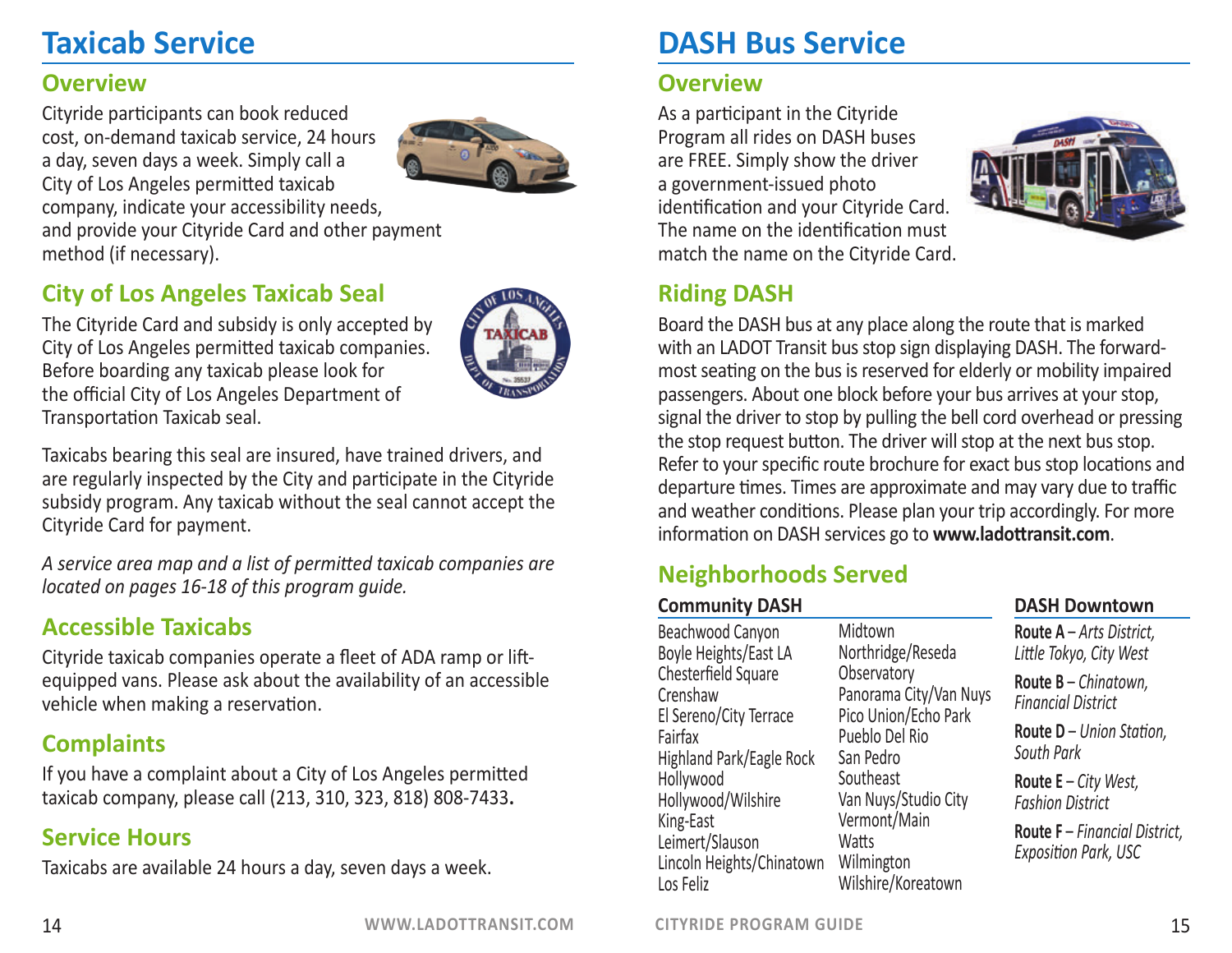# **Taxicab Service**

#### **Overview**

Cityride participants can book reduced cost, on-demand taxicab service, 24 hours a day, seven days a week. Simply call a City of Los Angeles permitted taxicab company, indicate your accessibility needs, and provide your Cityride Card and other payment method (if necessary).

#### **City of Los Angeles Taxicab Seal**

The Cityride Card and subsidy is only accepted by City of Los Angeles permitted taxicab companies. Before boarding any taxicab please look for the official City of Los Angeles Department of Transportation Taxicab seal.

Taxicabs bearing this seal are insured, have trained drivers, and are regularly inspected by the City and participate in the Cityride subsidy program. Any taxicab without the seal cannot accept the Cityride Card for payment.

*A service area map and a list of permitted taxicab companies are located on pages 16-18 of this program guide.*

# **Accessible Taxicabs**

Cityride taxicab companies operate a fleet of ADA ramp or liftequipped vans. Please ask about the availability of an accessible vehicle when making a reservation.

#### **Complaints**

If you have a complaint about a City of Los Angeles permitted taxicab company, please call (213, 310, 323, 818) 808-7433**.**

### **Service Hours**

Taxicabs are available 24 hours a day, seven days a week.

# **DASH Bus Service**

#### **Overview**

As a participant in the Cityride Program all rides on DASH buses are FREE. Simply show the driver a government-issued photo identification and your Cityride Card. The name on the identification must match the name on the Cityride Card.



## **Riding DASH**

Board the DASH bus at any place along the route that is marked with an LADOT Transit bus stop sign displaying DASH. The forwardmost seating on the bus is reserved for elderly or mobility impaired passengers. About one block before your bus arrives at your stop, signal the driver to stop by pulling the bell cord overhead or pressing the stop request button. The driver will stop at the next bus stop. Refer to your specific route brochure for exact bus stop locations and departure times. Times are approximate and may vary due to traffic and weather conditions. Please plan your trip accordingly. For more information on DASH services go to **www.ladottransit.com**.

# **Neighborhoods Served**

#### **Community DASH**

Beachwood Canyon Boyle Heights/East LA Chesterfield Square Crenshaw El Sereno/City Terrace Fairfax Highland Park/Eagle Rock Hollywood Hollywood/Wilshire King-East Leimert/Slauson Lincoln Heights/Chinatown Los Feliz

Midtown Northridge/Reseda **Observatory** Panorama City/Van Nuys Pico Union/Echo Park Pueblo Del Rio San Pedro **Southeast** Van Nuys/Studio City Vermont/Main **Watts** Wilmington Wilshire/Koreatown

#### **DASH Downtown**

**Route A** – *Arts District, Little Tokyo, City West*

**Route B** – *Chinatown, Financial District*

**Route D** – *Union Station, South Park*

**Route E** – *City West, Fashion District*

**Route F** – *Financial District, Exposition Park, USC*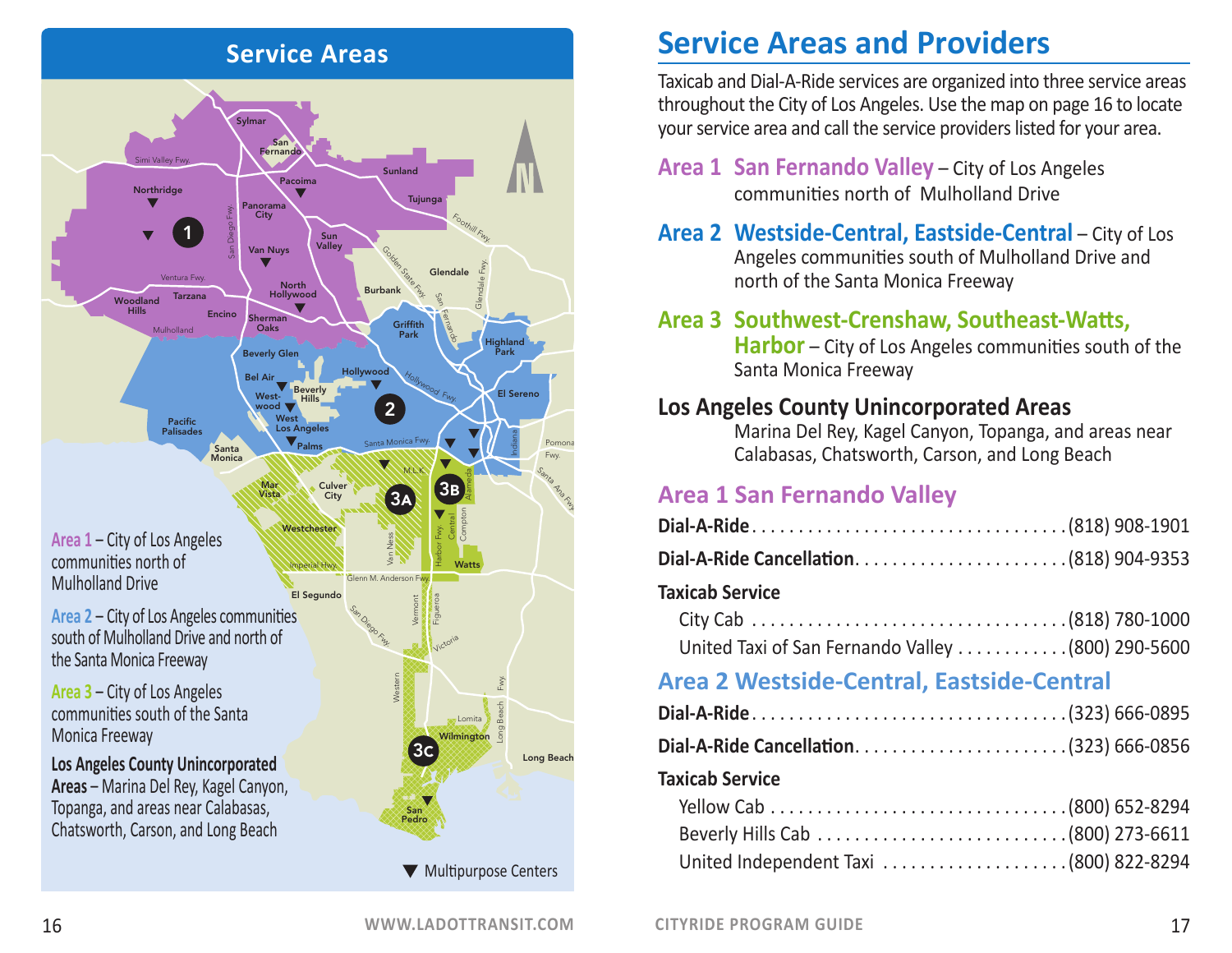

Taxicab and Dial-A-Ride services are organized into three service areas throughout the City of Los Angeles. Use the map on page 16 to locate your service area and call the service providers listed for your area.

- **Area 1 San Fernando Valley** City of Los Angeles communities north of Mulholland Drive
- **Area 2 Westside-Central, Eastside-Central** City of Los Angeles communities south of Mulholland Drive and north of the Santa Monica Freeway

# **Area 3 Southwest-Crenshaw, Southeast-Watts,**

**Harbor** – City of Los Angeles communities south of the Santa Monica Freeway

#### **Los Angeles County Unincorporated Areas**

Marina Del Rey, Kagel Canyon, Topanga, and areas near Calabasas, Chatsworth, Carson, and Long Beach

#### **Area 1 San Fernando Valley**

| Dial-A-Ride Cancellation(818) 904-9353 |  |
|----------------------------------------|--|

#### **Taxicab Service**

| United Taxi of San Fernando Valley  (800) 290-5600 |  |
|----------------------------------------------------|--|

### **Area 2 Westside-Central, Eastside-Central**

#### **Taxicab Service**

| United Independent Taxi (800) 822-8294 |  |
|----------------------------------------|--|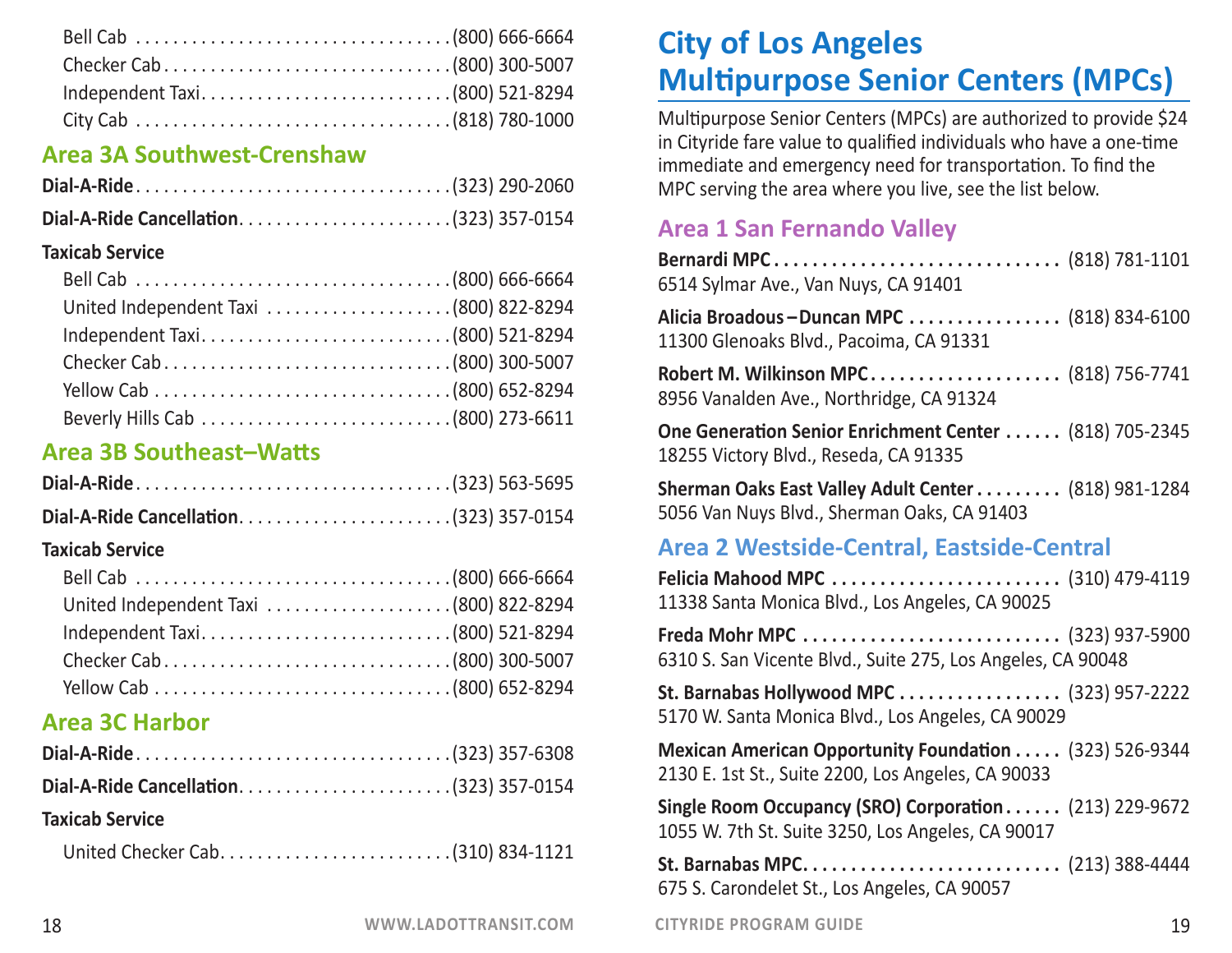#### **Area 3A Southwest-Crenshaw**

#### **Taxicab Service**

| United Independent Taxi (800) 822-8294 |  |
|----------------------------------------|--|
|                                        |  |
|                                        |  |
|                                        |  |
|                                        |  |

### **Area 3B Southeast–Watts**

| Dial-A-Ride Cancellation(323) 357-0154 |  |
|----------------------------------------|--|

#### **Taxicab Service**

| Independent Taxi(800) 521-8294 |  |
|--------------------------------|--|
|                                |  |
|                                |  |

### **Area 3C Harbor**

| Dial-A-Ride Cancellation(323) 357-0154 |  |
|----------------------------------------|--|
| <b>Taxicab Service</b>                 |  |
|                                        |  |

# **City of Los Angeles Multipurpose Senior Centers (MPCs)**

Multipurpose Senior Centers (MPCs) are authorized to provide \$24 in Cityride fare value to qualified individuals who have a one-time immediate and emergency need for transportation. To find the MPC serving the area where you live, see the list below.

# **Area 1 San Fernando Valley**

| Bernardi MPC (818) 781-1101<br>6514 Sylmar Ave., Van Nuys, CA 91401                                          |
|--------------------------------------------------------------------------------------------------------------|
| Alicia Broadous-Duncan MPC  (818) 834-6100<br>11300 Glenoaks Blvd., Pacoima, CA 91331                        |
| Robert M. Wilkinson MPC (818) 756-7741<br>8956 Vanalden Ave., Northridge, CA 91324                           |
| One Generation Senior Enrichment Center  (818) 705-2345<br>18255 Victory Blvd., Reseda, CA 91335             |
| Sherman Oaks East Valley Adult Center (818) 981-1284<br>5056 Van Nuys Blvd., Sherman Oaks, CA 91403          |
| Area 2 Westside-Central, Eastside-Central                                                                    |
| 11338 Santa Monica Blvd., Los Angeles, CA 90025                                                              |
| 6310 S. San Vicente Blvd., Suite 275, Los Angeles, CA 90048                                                  |
| St. Barnabas Hollywood MPC  (323) 957-2222<br>5170 W. Santa Monica Blvd., Los Angeles, CA 90029              |
| Mexican American Opportunity Foundation (323) 526-9344<br>2130 E. 1st St., Suite 2200, Los Angeles, CA 90033 |
| Single Room Occupancy (SRO) Corporation (213) 229-9672<br>1055 W. 7th St. Suite 3250, Los Angeles, CA 90017  |
| 675 S. Carondelet St., Los Angeles, CA 90057                                                                 |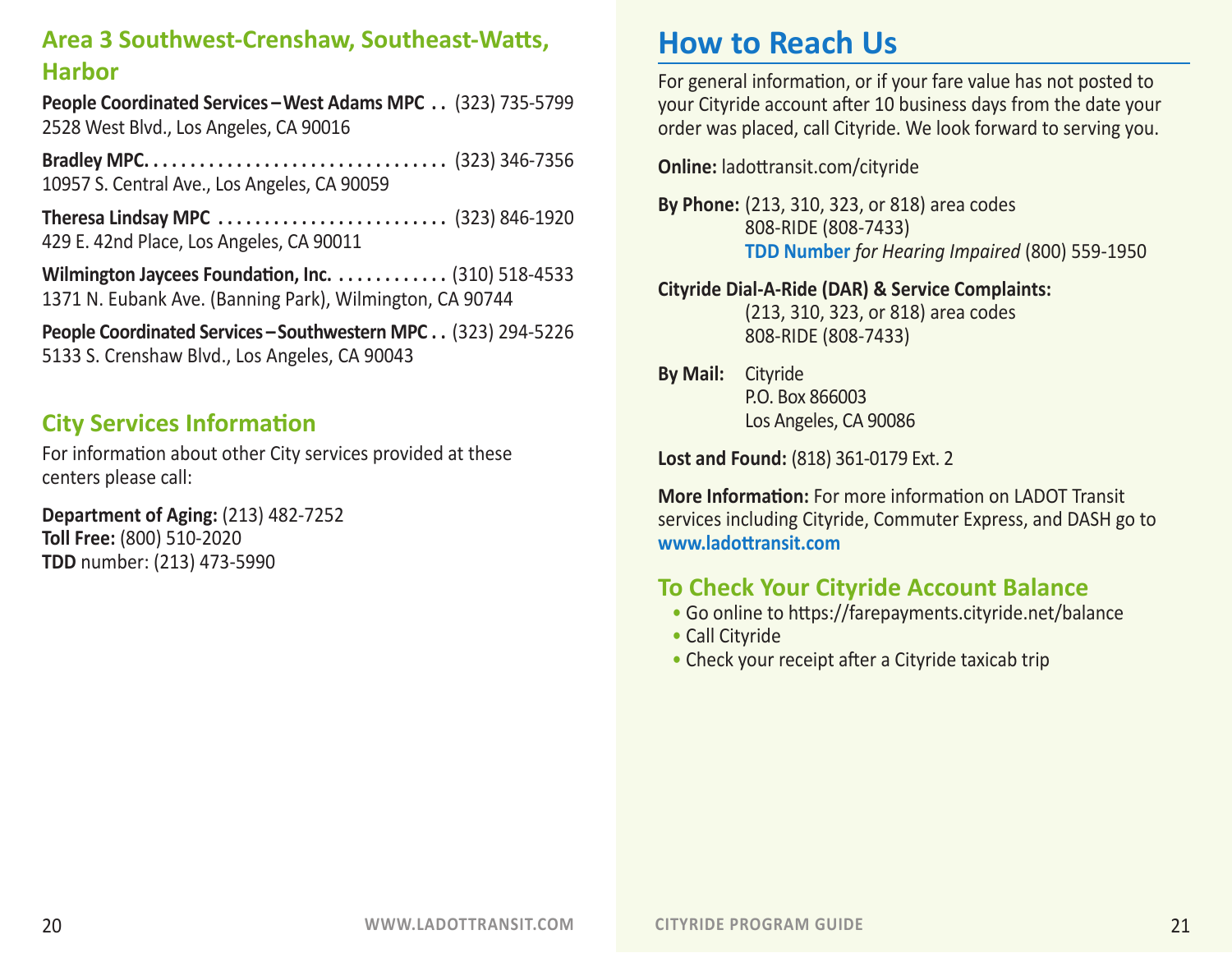# **Area 3 Southwest-Crenshaw, Southeast-Watts, Harbor**

**People Coordinated Services – West Adams MPC. . .** (323) 735-5799 2528 West Blvd., Los Angeles, CA 90016

**Bradley MPC. . .** (323) 346-7356 10957 S. Central Ave., Los Angeles, CA 90059

**Theresa Lindsay MPC. . .** (323) 846-1920 429 E. 42nd Place, Los Angeles, CA 90011

**Wilmington Jaycees Foundation, Inc.. .** (310) 518-4533 1371 N. Eubank Ave. (Banning Park), Wilmington, CA 90744

**People Coordinated Services – Southwestern MPC. . .** (323) 294-5226 5133 S. Crenshaw Blvd., Los Angeles, CA 90043

#### **City Services Information**

For information about other City services provided at these centers please call:

**Department of Aging:** (213) 482-7252 **Toll Free:** (800) 510-2020 **TDD** number: (213) 473-5990

# **How to Reach Us**

For general information, or if your fare value has not posted to your Cityride account after 10 business days from the date your order was placed, call Cityride. We look forward to serving you.

**Online:** ladottransit.com/cityride

**By Phone:** (213, 310, 323, or 818) area codes 808-RIDE (808-7433) **TDD Number** *for Hearing Impaired* (800) 559-1950

#### **Cityride Dial-A-Ride (DAR) & Service Complaints:**

(213, 310, 323, or 818) area codes 808-RIDE (808-7433)

**By Mail:** Cityride P.O. Box 866003 Los Angeles, CA 90086

**Lost and Found:** (818) 361-0179 Ext. 2

**More Information:** For more information on LADOT Transit services including Cityride, Commuter Express, and DASH go to **www.ladottransit.com**

### **To Check Your Cityride Account Balance**

- Go online to https://farepayments.cityride.net/balance
- Call Cityride
- Check your receipt after a Cityride taxicab trip